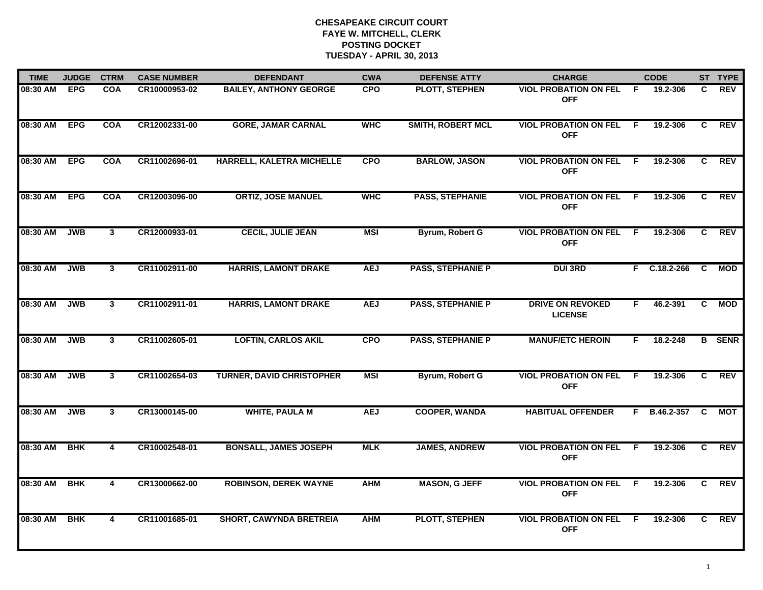| <b>TIME</b>  | <b>JUDGE</b> | <b>CTRM</b>             | <b>CASE NUMBER</b> | <b>DEFENDANT</b>                 | <b>CWA</b> | <b>DEFENSE ATTY</b>      | <b>CHARGE</b>                              |                | <b>CODE</b>    |                | ST TYPE       |
|--------------|--------------|-------------------------|--------------------|----------------------------------|------------|--------------------------|--------------------------------------------|----------------|----------------|----------------|---------------|
| 08:30 AM EPG |              | <b>COA</b>              | CR10000953-02      | <b>BAILEY, ANTHONY GEORGE</b>    | <b>CPO</b> | PLOTT, STEPHEN           | <b>VIOL PROBATION ON FEL</b><br><b>OFF</b> | -F             | 19.2-306       | C              | <b>REV</b>    |
| 08:30 AM EPG |              | <b>COA</b>              | CR12002331-00      | <b>GORE, JAMAR CARNAL</b>        | <b>WHC</b> | <b>SMITH, ROBERT MCL</b> | <b>VIOL PROBATION ON FEL</b><br><b>OFF</b> | F              | 19.2-306       | C              | REV           |
| 08:30 AM     | <b>EPG</b>   | <b>COA</b>              | CR11002696-01      | HARRELL, KALETRA MICHELLE        | <b>CPO</b> | <b>BARLOW, JASON</b>     | <b>VIOL PROBATION ON FEL</b><br><b>OFF</b> | - F            | 19.2-306       | C              | <b>REV</b>    |
| 08:30 AM     | <b>EPG</b>   | <b>COA</b>              | CR12003096-00      | <b>ORTIZ, JOSE MANUEL</b>        | <b>WHC</b> | <b>PASS, STEPHANIE</b>   | <b>VIOL PROBATION ON FEL</b><br><b>OFF</b> | - F            | 19.2-306       | C              | <b>REV</b>    |
| 08:30 AM     | <b>JWB</b>   | 3                       | CR12000933-01      | <b>CECIL, JULIE JEAN</b>         | <b>MSI</b> | Byrum, Robert G          | <b>VIOL PROBATION ON FEL</b><br><b>OFF</b> | -F.            | 19.2-306       | C.             | <b>REV</b>    |
| 08:30 AM     | <b>JWB</b>   | $\mathbf{3}$            | CR11002911-00      | <b>HARRIS, LAMONT DRAKE</b>      | <b>AEJ</b> | <b>PASS, STEPHANIE P</b> | <b>DUI 3RD</b>                             |                | $F$ C.18.2-266 | <b>C</b>       | <b>MOD</b>    |
| 08:30 AM     | <b>JWB</b>   | $\overline{\mathbf{3}}$ | CR11002911-01      | <b>HARRIS, LAMONT DRAKE</b>      | <b>AEJ</b> | <b>PASS, STEPHANIE P</b> | <b>DRIVE ON REVOKED</b><br><b>LICENSE</b>  | $\overline{F}$ | 46.2-391       | $\overline{c}$ | <b>MOD</b>    |
| 08:30 AM     | <b>JWB</b>   | $\mathbf{3}$            | CR11002605-01      | <b>LOFTIN, CARLOS AKIL</b>       | <b>CPO</b> | <b>PASS, STEPHANIE P</b> | <b>MANUF/ETC HEROIN</b>                    | F.             | 18.2-248       |                | <b>B</b> SENR |
| 08:30 AM     | <b>JWB</b>   | 3                       | CR11002654-03      | <b>TURNER, DAVID CHRISTOPHER</b> | <b>MSI</b> | Byrum, Robert G          | <b>VIOL PROBATION ON FEL</b><br><b>OFF</b> | -F             | 19.2-306       | C              | <b>REV</b>    |
| 08:30 AM     | <b>JWB</b>   | 3                       | CR13000145-00      | <b>WHITE, PAULA M</b>            | <b>AEJ</b> | <b>COOPER, WANDA</b>     | <b>HABITUAL OFFENDER</b>                   | F.             | B.46.2-357     | C              | МОТ           |
| 08:30 AM     | <b>BHK</b>   | 4                       | CR10002548-01      | <b>BONSALL, JAMES JOSEPH</b>     | <b>MLK</b> | <b>JAMES, ANDREW</b>     | <b>VIOL PROBATION ON FEL</b><br><b>OFF</b> | F.             | 19.2-306       | C.             | <b>REV</b>    |
| 08:30 AM     | <b>BHK</b>   | $\overline{4}$          | CR13000662-00      | <b>ROBINSON, DEREK WAYNE</b>     | <b>AHM</b> | <b>MASON, G JEFF</b>     | <b>VIOL PROBATION ON FEL</b><br><b>OFF</b> | F.             | 19.2-306       | $\overline{c}$ | REV           |
| 08:30 AM     | <b>BHK</b>   | 4                       | CR11001685-01      | <b>SHORT, CAWYNDA BRETREIA</b>   | <b>AHM</b> | <b>PLOTT, STEPHEN</b>    | <b>VIOL PROBATION ON FEL</b><br><b>OFF</b> | -F             | 19.2-306       | C.             | REV           |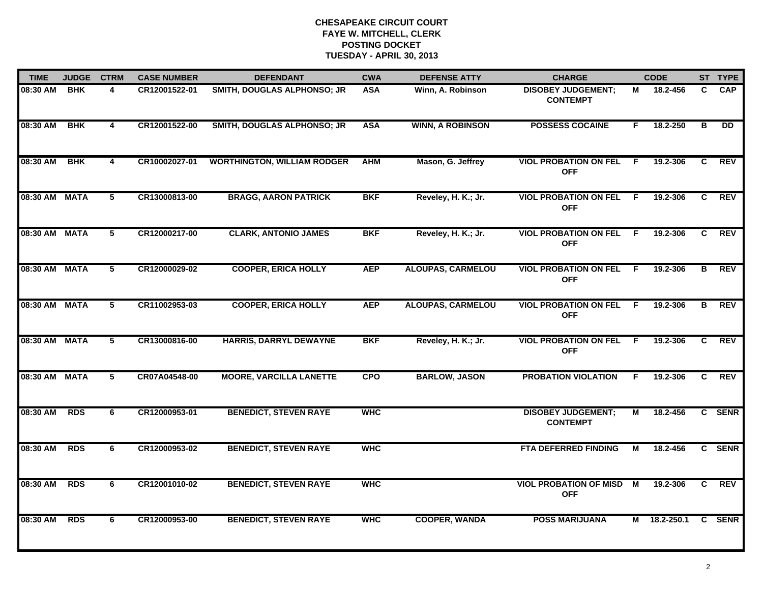| <b>TIME</b>   | <b>JUDGE</b> | <b>CTRM</b>             | <b>CASE NUMBER</b> | <b>DEFENDANT</b>                   | <b>CWA</b> | <b>DEFENSE ATTY</b>      | <b>CHARGE</b>                                |     | <b>CODE</b>  |                | ST TYPE         |
|---------------|--------------|-------------------------|--------------------|------------------------------------|------------|--------------------------|----------------------------------------------|-----|--------------|----------------|-----------------|
| 08:30 AM      | <b>BHK</b>   | 4                       | CR12001522-01      | SMITH, DOUGLAS ALPHONSO; JR        | <b>ASA</b> | Winn, A. Robinson        | <b>DISOBEY JUDGEMENT:</b><br><b>CONTEMPT</b> | М   | 18.2-456     | C              | <b>CAP</b>      |
| 08:30 AM      | <b>BHK</b>   | $\overline{\mathbf{4}}$ | CR12001522-00      | SMITH, DOUGLAS ALPHONSO; JR        | <b>ASA</b> | <b>WINN, A ROBINSON</b>  | <b>POSSESS COCAINE</b>                       | F   | 18.2-250     | в              | $\overline{DD}$ |
| 08:30 AM      | <b>BHK</b>   | $\overline{\mathbf{4}}$ | CR10002027-01      | <b>WORTHINGTON, WILLIAM RODGER</b> | <b>AHM</b> | Mason, G. Jeffrey        | <b>VIOL PROBATION ON FEL</b><br><b>OFF</b>   | -F. | 19.2-306     | $\overline{c}$ | REV             |
| 08:30 AM MATA |              | 5                       | CR13000813-00      | <b>BRAGG, AARON PATRICK</b>        | <b>BKF</b> | Reveley, H. K.; Jr.      | <b>VIOL PROBATION ON FEL</b><br><b>OFF</b>   | -F  | 19.2-306     | C              | <b>REV</b>      |
| 08:30 AM MATA |              | 5                       | CR12000217-00      | <b>CLARK, ANTONIO JAMES</b>        | <b>BKF</b> | Reveley, H. K.; Jr.      | <b>VIOL PROBATION ON FEL</b><br><b>OFF</b>   | F.  | 19.2-306     | C              | <b>REV</b>      |
| 08:30 AM MATA |              | 5                       | CR12000029-02      | <b>COOPER, ERICA HOLLY</b>         | <b>AEP</b> | <b>ALOUPAS, CARMELOU</b> | <b>VIOL PROBATION ON FEL</b><br><b>OFF</b>   | -F  | 19.2-306     | в              | <b>REV</b>      |
| 08:30 AM MATA |              | 5                       | CR11002953-03      | <b>COOPER, ERICA HOLLY</b>         | <b>AEP</b> | <b>ALOUPAS, CARMELOU</b> | <b>VIOL PROBATION ON FEL</b><br><b>OFF</b>   | F   | 19.2-306     | в              | <b>REV</b>      |
| 08:30 AM MATA |              | $\overline{5}$          | CR13000816-00      | HARRIS, DARRYL DEWAYNE             | <b>BKF</b> | Reveley, H. K.; Jr.      | <b>VIOL PROBATION ON FEL</b><br><b>OFF</b>   | -F  | 19.2-306     | C              | REV             |
| 08:30 AM MATA |              | 5                       | CR07A04548-00      | <b>MOORE, VARCILLA LANETTE</b>     | <b>CPO</b> | <b>BARLOW, JASON</b>     | <b>PROBATION VIOLATION</b>                   | F   | 19.2-306     | C.             | <b>REV</b>      |
| 08:30 AM      | <b>RDS</b>   | 6                       | CR12000953-01      | <b>BENEDICT, STEVEN RAYE</b>       | <b>WHC</b> |                          | <b>DISOBEY JUDGEMENT;</b><br><b>CONTEMPT</b> | М   | 18.2-456     |                | C SENR          |
| 08:30 AM      | <b>RDS</b>   | 6                       | CR12000953-02      | <b>BENEDICT, STEVEN RAYE</b>       | <b>WHC</b> |                          | <b>FTA DEFERRED FINDING</b>                  | М   | 18.2-456     |                | C SENR          |
| 08:30 AM      | <b>RDS</b>   | 6                       | CR12001010-02      | <b>BENEDICT, STEVEN RAYE</b>       | <b>WHC</b> |                          | <b>VIOL PROBATION OF MISD</b><br><b>OFF</b>  | M   | 19.2-306     | C.             | <b>REV</b>      |
| 08:30 AM      | <b>RDS</b>   | 6                       | CR12000953-00      | <b>BENEDICT, STEVEN RAYE</b>       | <b>WHC</b> | <b>COOPER, WANDA</b>     | <b>POSS MARIJUANA</b>                        |     | M 18.2-250.1 |                | C SENR          |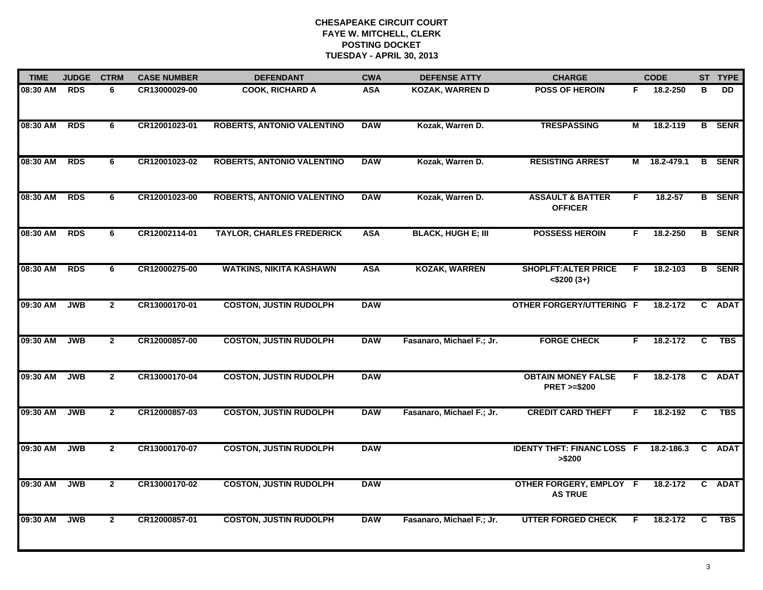| <b>TIME</b>  | <b>JUDGE</b> | <b>CTRM</b>    | <b>CASE NUMBER</b> | <b>DEFENDANT</b>                  | <b>CWA</b> | <b>DEFENSE ATTY</b>       | <b>CHARGE</b>                                       |    | <b>CODE</b>  |              | ST TYPE       |
|--------------|--------------|----------------|--------------------|-----------------------------------|------------|---------------------------|-----------------------------------------------------|----|--------------|--------------|---------------|
| 08:30 AM RDS |              | 6              | CR13000029-00      | <b>COOK, RICHARD A</b>            | <b>ASA</b> | KOZAK, WARREN D           | <b>POSS OF HEROIN</b>                               | F. | 18.2-250     | в            | DD.           |
| 08:30 AM     | <b>RDS</b>   | 6              | CR12001023-01      | <b>ROBERTS, ANTONIO VALENTINO</b> | <b>DAW</b> | Kozak, Warren D.          | <b>TRESPASSING</b>                                  | М  | 18.2-119     |              | <b>B</b> SENR |
| 08:30 AM     | <b>RDS</b>   | 6              | CR12001023-02      | <b>ROBERTS, ANTONIO VALENTINO</b> | <b>DAW</b> | Kozak, Warren D.          | <b>RESISTING ARREST</b>                             |    | M 18.2-479.1 |              | <b>B</b> SENR |
| 08:30 AM     | <b>RDS</b>   | 6              | CR12001023-00      | ROBERTS, ANTONIO VALENTINO        | <b>DAW</b> | Kozak, Warren D.          | <b>ASSAULT &amp; BATTER</b><br><b>OFFICER</b>       | F. | 18.2-57      |              | <b>B</b> SENR |
| 08:30 AM     | <b>RDS</b>   | 6              | CR12002114-01      | <b>TAYLOR, CHARLES FREDERICK</b>  | <b>ASA</b> | <b>BLACK, HUGH E; III</b> | <b>POSSESS HEROIN</b>                               | F. | 18.2-250     |              | <b>B</b> SENR |
| 08:30 AM     | <b>RDS</b>   | 6              | CR12000275-00      | <b>WATKINS, NIKITA KASHAWN</b>    | <b>ASA</b> | <b>KOZAK, WARREN</b>      | <b>SHOPLFT: ALTER PRICE</b><br>$<$ \$200 $(3+)$     | F. | 18.2-103     |              | <b>B</b> SENR |
| 09:30 AM     | <b>JWB</b>   | 2 <sup>1</sup> | CR13000170-01      | <b>COSTON, JUSTIN RUDOLPH</b>     | <b>DAW</b> |                           | <b>OTHER FORGERY/UTTERING F</b>                     |    | 18.2-172     | $\mathbf{C}$ | <b>ADAT</b>   |
| 09:30 AM     | <b>JWB</b>   | $\mathbf{2}$   | CR12000857-00      | <b>COSTON, JUSTIN RUDOLPH</b>     | <b>DAW</b> | Fasanaro, Michael F.; Jr. | <b>FORGE CHECK</b>                                  | F  | 18.2-172     | C            | <b>TBS</b>    |
| 09:30 AM     | <b>JWB</b>   | $\overline{2}$ | CR13000170-04      | <b>COSTON, JUSTIN RUDOLPH</b>     | <b>DAW</b> |                           | <b>OBTAIN MONEY FALSE</b><br><b>PRET &gt;=\$200</b> | F  | 18.2-178     | $\mathbf{c}$ | <b>ADAT</b>   |
| 09:30 AM     | <b>JWB</b>   | $\overline{2}$ | CR12000857-03      | <b>COSTON, JUSTIN RUDOLPH</b>     | <b>DAW</b> | Fasanaro, Michael F.; Jr. | <b>CREDIT CARD THEFT</b>                            | F  | 18.2-192     | C            | <b>TBS</b>    |
| 09:30 AM     | <b>JWB</b>   | $\overline{2}$ | CR13000170-07      | <b>COSTON, JUSTIN RUDOLPH</b>     | <b>DAW</b> |                           | <b>IDENTY THFT: FINANC LOSS F</b><br>> \$200        |    | 18.2-186.3   |              | C ADAT        |
| 09:30 AM     | <b>JWB</b>   | $\overline{2}$ | CR13000170-02      | <b>COSTON, JUSTIN RUDOLPH</b>     | <b>DAW</b> |                           | OTHER FORGERY, EMPLOY F<br><b>AS TRUE</b>           |    | 18.2-172     |              | C ADAT        |
| 09:30 AM     | <b>JWB</b>   | $\mathbf{2}$   | CR12000857-01      | <b>COSTON, JUSTIN RUDOLPH</b>     | <b>DAW</b> | Fasanaro, Michael F.; Jr. | <b>UTTER FORGED CHECK</b>                           | F  | 18.2-172     | C.           | <b>TBS</b>    |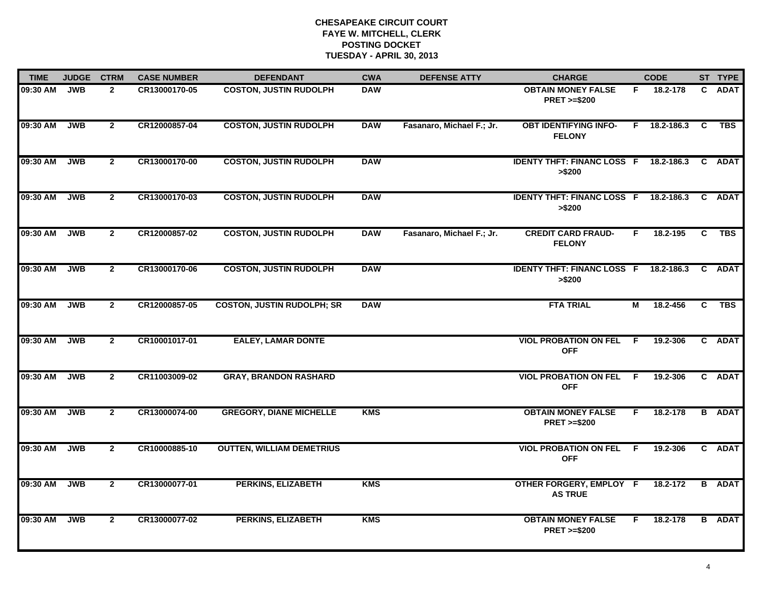| <b>TIME</b> | <b>JUDGE</b> | <b>CTRM</b>    | <b>CASE NUMBER</b> | <b>DEFENDANT</b>                  | <b>CWA</b> | <b>DEFENSE ATTY</b>       | <b>CHARGE</b>                                           |                         | <b>CODE</b>        |                | ST TYPE       |
|-------------|--------------|----------------|--------------------|-----------------------------------|------------|---------------------------|---------------------------------------------------------|-------------------------|--------------------|----------------|---------------|
| 09:30 AM    | <b>JWB</b>   | $\mathbf{2}$   | CR13000170-05      | <b>COSTON, JUSTIN RUDOLPH</b>     | <b>DAW</b> |                           | <b>OBTAIN MONEY FALSE</b><br><b>PRET &gt;=\$200</b>     | F.                      | 18.2-178           | C.             | <b>ADAT</b>   |
| 09:30 AM    | JWB          | $\mathbf{2}$   | CR12000857-04      | <b>COSTON, JUSTIN RUDOLPH</b>     | <b>DAW</b> | Fasanaro, Michael F.; Jr. | <b>OBT IDENTIFYING INFO-</b><br><b>FELONY</b>           |                         | $F = 18.2 - 186.3$ | <b>C</b>       | <b>TBS</b>    |
| 09:30 AM    | JWB          | $\overline{2}$ | CR13000170-00      | <b>COSTON, JUSTIN RUDOLPH</b>     | <b>DAW</b> |                           | <b>IDENTY THFT: FINANC LOSS F 18.2-186.3</b><br>> \$200 |                         |                    |                | C ADAT        |
| 09:30 AM    | <b>JWB</b>   | $\mathbf{2}$   | CR13000170-03      | <b>COSTON, JUSTIN RUDOLPH</b>     | <b>DAW</b> |                           | IDENTY THFT: FINANC LOSS F 18.2-186.3 C ADAT<br>> \$200 |                         |                    |                |               |
| 09:30 AM    | <b>JWB</b>   | $\overline{2}$ | CR12000857-02      | <b>COSTON, JUSTIN RUDOLPH</b>     | <b>DAW</b> | Fasanaro, Michael F.; Jr. | <b>CREDIT CARD FRAUD-</b><br><b>FELONY</b>              | F.                      | 18.2-195           | $\mathbf{C}$   | <b>TBS</b>    |
| 09:30 AM    | <b>JWB</b>   | $\mathbf{2}$   | CR13000170-06      | <b>COSTON, JUSTIN RUDOLPH</b>     | <b>DAW</b> |                           | <b>IDENTY THFT: FINANC LOSS F</b><br>> \$200            |                         | 18.2-186.3         | C.             | <b>ADAT</b>   |
| 09:30 AM    | <b>JWB</b>   | $\overline{2}$ | CR12000857-05      | <b>COSTON, JUSTIN RUDOLPH; SR</b> | <b>DAW</b> |                           | <b>FTA TRIAL</b>                                        | $\overline{\mathsf{M}}$ | 18.2-456           | $\overline{c}$ | <b>TBS</b>    |
| 09:30 AM    | <b>JWB</b>   | $\mathbf{2}$   | CR10001017-01      | <b>EALEY, LAMAR DONTE</b>         |            |                           | <b>VIOL PROBATION ON FEL</b><br><b>OFF</b>              | F.                      | 19.2-306           |                | C ADAT        |
| 09:30 AM    | <b>JWB</b>   | $\overline{2}$ | CR11003009-02      | <b>GRAY, BRANDON RASHARD</b>      |            |                           | <b>VIOL PROBATION ON FEL</b><br><b>OFF</b>              | -F                      | 19.2-306           |                | C ADAT        |
| 09:30 AM    | <b>JWB</b>   | $\overline{2}$ | CR13000074-00      | <b>GREGORY, DIANE MICHELLE</b>    | <b>KMS</b> |                           | <b>OBTAIN MONEY FALSE</b><br><b>PRET &gt;=\$200</b>     | F.                      | 18.2-178           |                | <b>B</b> ADAT |
| 09:30 AM    | <b>JWB</b>   | $\overline{2}$ | CR10000885-10      | <b>OUTTEN, WILLIAM DEMETRIUS</b>  |            |                           | <b>VIOL PROBATION ON FEL F</b><br><b>OFF</b>            |                         | 19.2-306           |                | C ADAT        |
| 09:30 AM    | <b>JWB</b>   | $\overline{2}$ | CR13000077-01      | <b>PERKINS, ELIZABETH</b>         | <b>KMS</b> |                           | OTHER FORGERY, EMPLOY F<br><b>AS TRUE</b>               |                         | 18.2-172           |                | <b>B</b> ADAT |
| 09:30 AM    | <b>JWB</b>   | $\mathbf{2}$   | CR13000077-02      | <b>PERKINS, ELIZABETH</b>         | <b>KMS</b> |                           | <b>OBTAIN MONEY FALSE</b><br><b>PRET &gt;=\$200</b>     | F.                      | 18.2-178           |                | <b>B</b> ADAT |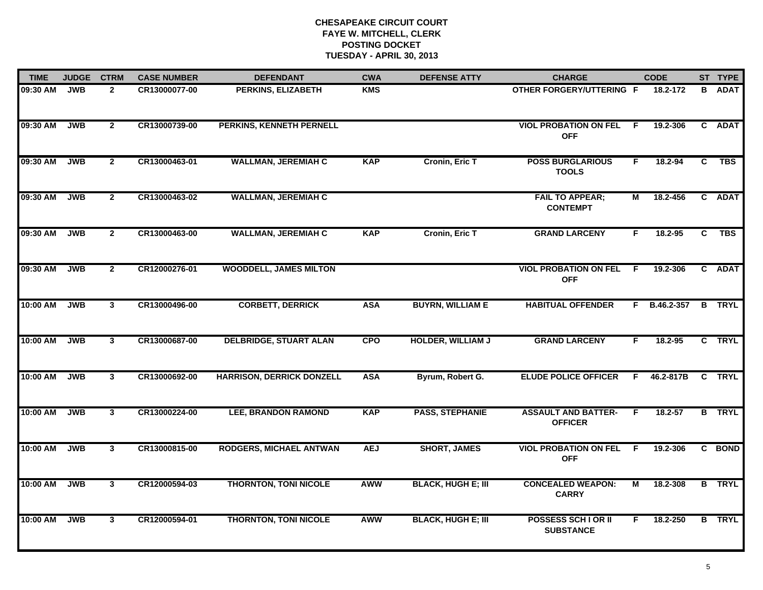| <b>TIME</b> | <b>JUDGE</b> | <b>CTRM</b>    | <b>CASE NUMBER</b> | <b>DEFENDANT</b>                 | <b>CWA</b> | <b>DEFENSE ATTY</b>       | <b>CHARGE</b>                                  |                | <b>CODE</b>  |    | ST TYPE       |
|-------------|--------------|----------------|--------------------|----------------------------------|------------|---------------------------|------------------------------------------------|----------------|--------------|----|---------------|
| 09:30 AM    | <b>JWB</b>   | $\mathbf{2}$   | CR13000077-00      | PERKINS, ELIZABETH               | <b>KMS</b> |                           | <b>OTHER FORGERY/UTTERING F</b>                |                | 18.2-172     | B. | <b>ADAT</b>   |
| 09:30 AM    | <b>JWB</b>   | $\overline{2}$ | CR13000739-00      | PERKINS, KENNETH PERNELL         |            |                           | <b>VIOL PROBATION ON FEL</b><br><b>OFF</b>     | F.             | 19.2-306     |    | C ADAT        |
| 09:30 AM    | <b>JWB</b>   | $\overline{2}$ | CR13000463-01      | <b>WALLMAN, JEREMIAH C</b>       | <b>KAP</b> | Cronin, Eric T            | <b>POSS BURGLARIOUS</b><br><b>TOOLS</b>        | F.             | 18.2-94      | C  | <b>TBS</b>    |
| 09:30 AM    | <b>JWB</b>   | $\mathbf{2}$   | CR13000463-02      | <b>WALLMAN, JEREMIAH C</b>       |            |                           | <b>FAIL TO APPEAR;</b><br><b>CONTEMPT</b>      | М              | 18.2-456     |    | C ADAT        |
| 09:30 AM    | <b>JWB</b>   | $2^{\circ}$    | CR13000463-00      | <b>WALLMAN, JEREMIAH C</b>       | <b>KAP</b> | <b>Cronin, Eric T</b>     | <b>GRAND LARCENY</b>                           | F.             | $18.2 - 95$  | C. | <b>TBS</b>    |
| 09:30 AM    | <b>JWB</b>   | $\overline{2}$ | CR12000276-01      | <b>WOODDELL, JAMES MILTON</b>    |            |                           | <b>VIOL PROBATION ON FEL</b><br><b>OFF</b>     | F.             | 19.2-306     |    | C ADAT        |
| 10:00 AM    | <b>JWB</b>   | 3              | CR13000496-00      | <b>CORBETT, DERRICK</b>          | <b>ASA</b> | <b>BUYRN, WILLIAM E</b>   | <b>HABITUAL OFFENDER</b>                       |                | F B.46.2-357 |    | <b>B</b> TRYL |
| 10:00 AM    | <b>JWB</b>   | $\mathbf{3}$   | CR13000687-00      | <b>DELBRIDGE, STUART ALAN</b>    | <b>CPO</b> | <b>HOLDER, WILLIAM J</b>  | <b>GRAND LARCENY</b>                           | F.             | 18.2-95      |    | C TRYL        |
| 10:00 AM    | <b>JWB</b>   | $\mathbf{3}$   | CR13000692-00      | <b>HARRISON, DERRICK DONZELL</b> | <b>ASA</b> | Byrum, Robert G.          | <b>ELUDE POLICE OFFICER</b>                    | F.             | 46.2-817B    |    | C TRYL        |
| 10:00 AM    | <b>JWB</b>   | $\mathbf{3}$   | CR13000224-00      | <b>LEE, BRANDON RAMOND</b>       | <b>KAP</b> | <b>PASS, STEPHANIE</b>    | <b>ASSAULT AND BATTER-</b><br><b>OFFICER</b>   | F              | 18.2-57      |    | <b>B</b> TRYL |
| 10:00 AM    | <b>JWB</b>   | 3              | CR13000815-00      | <b>RODGERS, MICHAEL ANTWAN</b>   | <b>AEJ</b> | <b>SHORT, JAMES</b>       | <b>VIOL PROBATION ON FEL F</b><br><b>OFF</b>   |                | 19.2-306     |    | C BOND        |
| 10:00 AM    | <b>JWB</b>   | $\overline{3}$ | CR12000594-03      | <b>THORNTON, TONI NICOLE</b>     | <b>AWW</b> | <b>BLACK, HUGH E; III</b> | <b>CONCEALED WEAPON:</b><br><b>CARRY</b>       | $\overline{M}$ | 18.2-308     |    | <b>B</b> TRYL |
| 10:00 AM    | <b>JWB</b>   | $\mathbf{3}$   | CR12000594-01      | <b>THORNTON, TONI NICOLE</b>     | <b>AWW</b> | <b>BLACK, HUGH E; III</b> | <b>POSSESS SCH I OR II</b><br><b>SUBSTANCE</b> | F.             | 18.2-250     |    | <b>B</b> TRYL |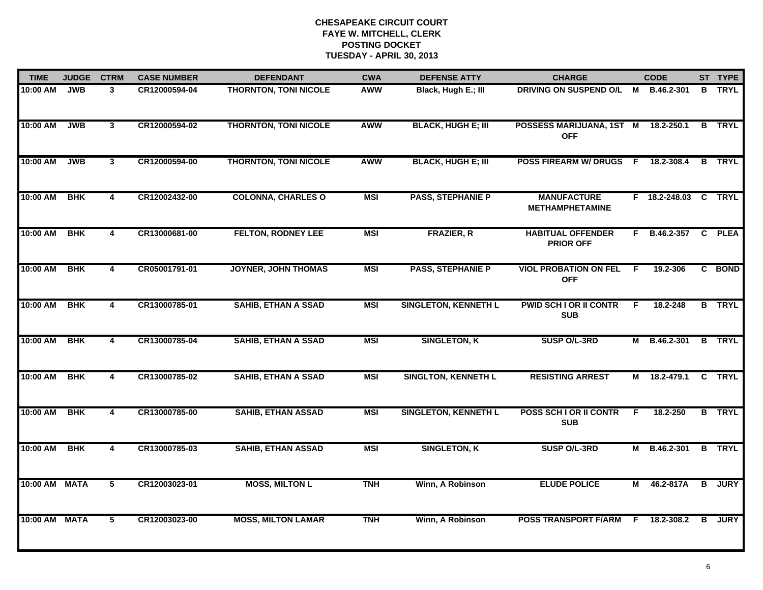| <b>TIME</b>   | <b>JUDGE</b> | <b>CTRM</b>             | <b>CASE NUMBER</b> | <b>DEFENDANT</b>             | <b>CWA</b> | <b>DEFENSE ATTY</b>         | <b>CHARGE</b>                                |    | <b>CODE</b>          |                | ST TYPE       |
|---------------|--------------|-------------------------|--------------------|------------------------------|------------|-----------------------------|----------------------------------------------|----|----------------------|----------------|---------------|
| 10:00 AM      | <b>JWB</b>   | $\mathbf{3}$            | CR12000594-04      | <b>THORNTON, TONI NICOLE</b> | <b>AWW</b> | Black, Hugh E.; III         | DRIVING ON SUSPEND O/L M                     |    | B.46.2-301           | B              | TRYL          |
| 10:00 AM      | <b>JWB</b>   | 3                       | CR12000594-02      | <b>THORNTON, TONI NICOLE</b> | <b>AWW</b> | <b>BLACK, HUGH E; III</b>   | POSSESS MARIJUANA, 1ST M<br><b>OFF</b>       |    | 18.2-250.1           |                | <b>B</b> TRYL |
| 10:00 AM      | <b>JWB</b>   | $\overline{\mathbf{3}}$ | CR12000594-00      | <b>THORNTON, TONI NICOLE</b> | <b>AWW</b> | <b>BLACK, HUGH E; III</b>   | <b>POSS FIREARM W/ DRUGS</b>                 | F. | 18.2-308.4           | B              | <b>TRYL</b>   |
| 10:00 AM      | <b>BHK</b>   | 4                       | CR12002432-00      | <b>COLONNA, CHARLES O</b>    | <b>MSI</b> | <b>PASS, STEPHANIE P</b>    | <b>MANUFACTURE</b><br><b>METHAMPHETAMINE</b> |    | F 18.2-248.03 C TRYL |                |               |
| 10:00 AM      | <b>BHK</b>   | 4                       | CR13000681-00      | <b>FELTON, RODNEY LEE</b>    | <b>MSI</b> | <b>FRAZIER, R</b>           | <b>HABITUAL OFFENDER</b><br><b>PRIOR OFF</b> |    | F B.46.2-357 C PLEA  |                |               |
| 10:00 AM      | <b>BHK</b>   | 4                       | CR05001791-01      | <b>JOYNER, JOHN THOMAS</b>   | <b>MSI</b> | <b>PASS, STEPHANIE P</b>    | <b>VIOL PROBATION ON FEL</b><br><b>OFF</b>   | -F | 19.2-306             |                | C BOND        |
| 10:00 AM      | <b>BHK</b>   | $\overline{4}$          | CR13000785-01      | <b>SAHIB, ETHAN A SSAD</b>   | <b>MSI</b> | <b>SINGLETON, KENNETH L</b> | <b>PWID SCH I OR II CONTR</b><br><b>SUB</b>  | F  | 18.2-248             |                | <b>B</b> TRYL |
| 10:00 AM      | <b>BHK</b>   | 4                       | CR13000785-04      | <b>SAHIB, ETHAN A SSAD</b>   | <b>MSI</b> | <b>SINGLETON, K</b>         | SUSP O/L-3RD                                 | М  | <b>B.46.2-301</b>    |                | <b>B</b> TRYL |
| 10:00 AM      | <b>BHK</b>   | 4                       | CR13000785-02      | <b>SAHIB, ETHAN A SSAD</b>   | <b>MSI</b> | <b>SINGLTON, KENNETH L</b>  | <b>RESISTING ARREST</b>                      | м  | 18.2-479.1           | $\mathbf{C}$   | <b>TRYL</b>   |
| 10:00 AM      | <b>BHK</b>   | 4                       | CR13000785-00      | <b>SAHIB, ETHAN ASSAD</b>    | <b>MSI</b> | <b>SINGLETON, KENNETH L</b> | POSS SCH I OR II CONTR<br><b>SUB</b>         | F  | 18.2-250             |                | <b>B</b> TRYL |
| 10:00 AM      | <b>BHK</b>   | $\overline{4}$          | CR13000785-03      | <b>SAHIB, ETHAN ASSAD</b>    | <b>MSI</b> | <b>SINGLETON, K</b>         | SUSP O/L-3RD                                 |    | M B.46.2-301         |                | <b>B</b> TRYL |
| 10:00 AM MATA |              | 5                       | CR12003023-01      | <b>MOSS, MILTON L</b>        | <b>TNH</b> | Winn, A Robinson            | <b>ELUDE POLICE</b>                          | М  | 46.2-817A            | $\overline{B}$ | <b>JURY</b>   |
| 10:00 AM      | <b>MATA</b>  | 5                       | CR12003023-00      | <b>MOSS, MILTON LAMAR</b>    | <b>TNH</b> | Winn, A Robinson            | <b>POSS TRANSPORT F/ARM</b>                  | F  | 18.2-308.2           | B              | <b>JURY</b>   |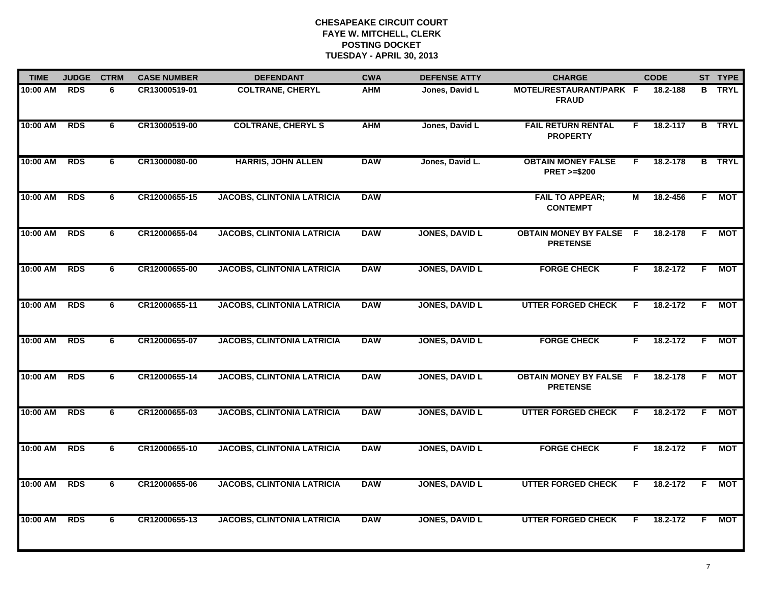| <b>TIME</b> | <b>JUDGE</b> | <b>CTRM</b> | <b>CASE NUMBER</b> | <b>DEFENDANT</b>                  | <b>CWA</b> | <b>DEFENSE ATTY</b>   | <b>CHARGE</b>                                       |    | <b>CODE</b> |    | ST TYPE       |
|-------------|--------------|-------------|--------------------|-----------------------------------|------------|-----------------------|-----------------------------------------------------|----|-------------|----|---------------|
| 10:00 AM    | <b>RDS</b>   | 6           | CR13000519-01      | <b>COLTRANE, CHERYL</b>           | <b>AHM</b> | Jones, David L        | MOTEL/RESTAURANT/PARK F<br><b>FRAUD</b>             |    | 18.2-188    |    | <b>B</b> TRYL |
| 10:00 AM    | <b>RDS</b>   | 6           | CR13000519-00      | <b>COLTRANE, CHERYL S</b>         | <b>AHM</b> | Jones, David L        | <b>FAIL RETURN RENTAL</b><br><b>PROPERTY</b>        | F. | 18.2-117    |    | <b>B</b> TRYL |
| 10:00 AM    | <b>RDS</b>   | 6           | CR13000080-00      | <b>HARRIS, JOHN ALLEN</b>         | <b>DAW</b> | Jones, David L.       | <b>OBTAIN MONEY FALSE</b><br><b>PRET &gt;=\$200</b> | F  | 18.2-178    |    | <b>B</b> TRYL |
| 10:00 AM    | <b>RDS</b>   | 6           | CR12000655-15      | <b>JACOBS, CLINTONIA LATRICIA</b> | <b>DAW</b> |                       | <b>FAIL TO APPEAR;</b><br><b>CONTEMPT</b>           | М  | 18.2-456    | F. | МОТ           |
| 10:00 AM    | <b>RDS</b>   | 6           | CR12000655-04      | <b>JACOBS, CLINTONIA LATRICIA</b> | <b>DAW</b> | <b>JONES, DAVID L</b> | <b>OBTAIN MONEY BY FALSE</b><br><b>PRETENSE</b>     | -F | 18.2-178    | F. | MOT           |
| 10:00 AM    | <b>RDS</b>   | 6           | CR12000655-00      | <b>JACOBS, CLINTONIA LATRICIA</b> | <b>DAW</b> | <b>JONES, DAVID L</b> | <b>FORGE CHECK</b>                                  | F. | 18.2-172    | F. | MOT           |
| 10:00 AM    | <b>RDS</b>   | 6           | CR12000655-11      | <b>JACOBS, CLINTONIA LATRICIA</b> | <b>DAW</b> | <b>JONES, DAVID L</b> | <b>UTTER FORGED CHECK</b>                           | F. | 18.2-172    | F. | МОТ           |
| 10:00 AM    | <b>RDS</b>   | 6           | CR12000655-07      | <b>JACOBS, CLINTONIA LATRICIA</b> | <b>DAW</b> | <b>JONES, DAVID L</b> | <b>FORGE CHECK</b>                                  | F. | 18.2-172    | F. | <b>MOT</b>    |
| 10:00 AM    | <b>RDS</b>   | 6           | CR12000655-14      | <b>JACOBS, CLINTONIA LATRICIA</b> | <b>DAW</b> | <b>JONES, DAVID L</b> | <b>OBTAIN MONEY BY FALSE F</b><br><b>PRETENSE</b>   |    | 18.2-178    | F. | МОТ           |
| 10:00 AM    | <b>RDS</b>   | 6           | CR12000655-03      | <b>JACOBS, CLINTONIA LATRICIA</b> | <b>DAW</b> | <b>JONES, DAVID L</b> | <b>UTTER FORGED CHECK</b>                           | F  | 18.2-172    | F. | МОТ           |
| 10:00 AM    | <b>RDS</b>   | 6           | CR12000655-10      | <b>JACOBS, CLINTONIA LATRICIA</b> | <b>DAW</b> | <b>JONES, DAVID L</b> | <b>FORGE CHECK</b>                                  | F. | 18.2-172    | F. | МОТ           |
| 10:00 AM    | <b>RDS</b>   | 6           | CR12000655-06      | <b>JACOBS, CLINTONIA LATRICIA</b> | <b>DAW</b> | <b>JONES, DAVID L</b> | <b>UTTER FORGED CHECK</b>                           | F. | 18.2-172    | F. | <b>MOT</b>    |
| 10:00 AM    | <b>RDS</b>   | 6           | CR12000655-13      | <b>JACOBS, CLINTONIA LATRICIA</b> | <b>DAW</b> | <b>JONES, DAVID L</b> | <b>UTTER FORGED CHECK</b>                           | F. | 18.2-172    | F. | МОТ           |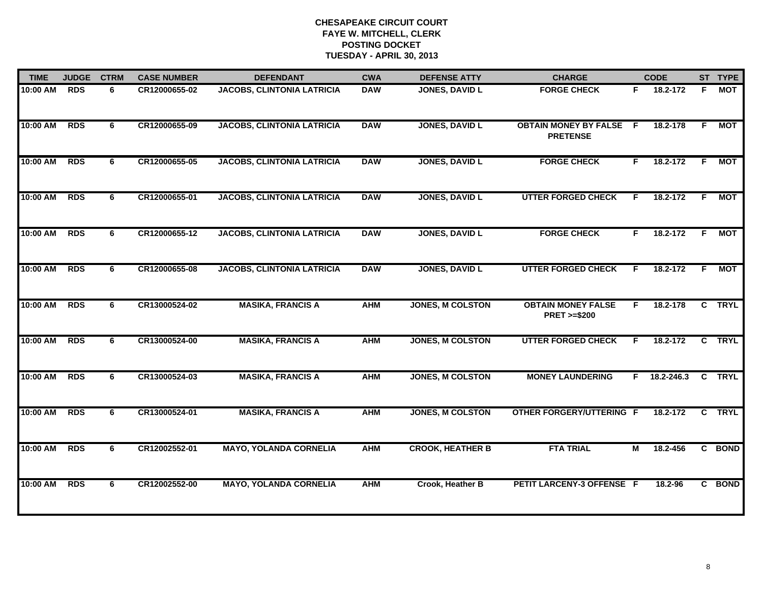| <b>TIME</b> | <b>JUDGE</b> | <b>CTRM</b> | <b>CASE NUMBER</b> | <b>DEFENDANT</b>                  | <b>CWA</b> | <b>DEFENSE ATTY</b>     | <b>CHARGE</b>                                       |    | <b>CODE</b>    |    | ST TYPE    |
|-------------|--------------|-------------|--------------------|-----------------------------------|------------|-------------------------|-----------------------------------------------------|----|----------------|----|------------|
| 10:00 AM    | <b>RDS</b>   | 6           | CR12000655-02      | <b>JACOBS, CLINTONIA LATRICIA</b> | <b>DAW</b> | <b>JONES, DAVID L</b>   | <b>FORGE CHECK</b>                                  | F. | 18.2-172       | F. | <b>MOT</b> |
| 10:00 AM    | <b>RDS</b>   | 6           | CR12000655-09      | <b>JACOBS, CLINTONIA LATRICIA</b> | <b>DAW</b> | <b>JONES, DAVID L</b>   | <b>OBTAIN MONEY BY FALSE F</b><br><b>PRETENSE</b>   |    | 18.2-178       | F. | <b>MOT</b> |
| 10:00 AM    | <b>RDS</b>   | 6           | CR12000655-05      | <b>JACOBS, CLINTONIA LATRICIA</b> | <b>DAW</b> | <b>JONES, DAVID L</b>   | <b>FORGE CHECK</b>                                  | F. | 18.2-172       | F. | <b>MOT</b> |
| 10:00 AM    | <b>RDS</b>   | 6           | CR12000655-01      | <b>JACOBS, CLINTONIA LATRICIA</b> | <b>DAW</b> | <b>JONES, DAVID L</b>   | <b>UTTER FORGED CHECK</b>                           | F. | 18.2-172       | F. | <b>MOT</b> |
| 10:00 AM    | <b>RDS</b>   | 6           | CR12000655-12      | <b>JACOBS, CLINTONIA LATRICIA</b> | <b>DAW</b> | <b>JONES, DAVID L</b>   | <b>FORGE CHECK</b>                                  | F. | $18.2 - 172$   | F  | MOT        |
| 10:00 AM    | <b>RDS</b>   | 6           | CR12000655-08      | <b>JACOBS, CLINTONIA LATRICIA</b> | <b>DAW</b> | <b>JONES, DAVID L</b>   | <b>UTTER FORGED CHECK</b>                           | F. | 18.2-172       | F. | <b>MOT</b> |
| 10:00 AM    | <b>RDS</b>   | 6           | CR13000524-02      | <b>MASIKA, FRANCIS A</b>          | <b>AHM</b> | <b>JONES, M COLSTON</b> | <b>OBTAIN MONEY FALSE</b><br><b>PRET &gt;=\$200</b> | F. | 18.2-178       |    | C TRYL     |
| 10:00 AM    | <b>RDS</b>   | 6           | CR13000524-00      | <b>MASIKA, FRANCIS A</b>          | <b>AHM</b> | <b>JONES, M COLSTON</b> | <b>UTTER FORGED CHECK</b>                           | F. | 18.2-172       |    | C TRYL     |
| 10:00 AM    | <b>RDS</b>   | 6           | CR13000524-03      | <b>MASIKA, FRANCIS A</b>          | <b>AHM</b> | <b>JONES, M COLSTON</b> | <b>MONEY LAUNDERING</b>                             |    | $F$ 18.2-246.3 |    | C TRYL     |
| 10:00 AM    | <b>RDS</b>   | 6           | CR13000524-01      | <b>MASIKA, FRANCIS A</b>          | <b>AHM</b> | <b>JONES, M COLSTON</b> | <b>OTHER FORGERY/UTTERING F</b>                     |    | 18.2-172       |    | C TRYL     |
| 10:00 AM    | <b>RDS</b>   | 6           | CR12002552-01      | <b>MAYO, YOLANDA CORNELIA</b>     | <b>AHM</b> | <b>CROOK, HEATHER B</b> | <b>FTA TRIAL</b>                                    | М  | 18.2-456       |    | C BOND     |
| 10:00 AM    | <b>RDS</b>   | 6           | CR12002552-00      | <b>MAYO, YOLANDA CORNELIA</b>     | <b>AHM</b> | Crook, Heather B        | PETIT LARCENY-3 OFFENSE F                           |    | 18.2-96        |    | C BOND     |